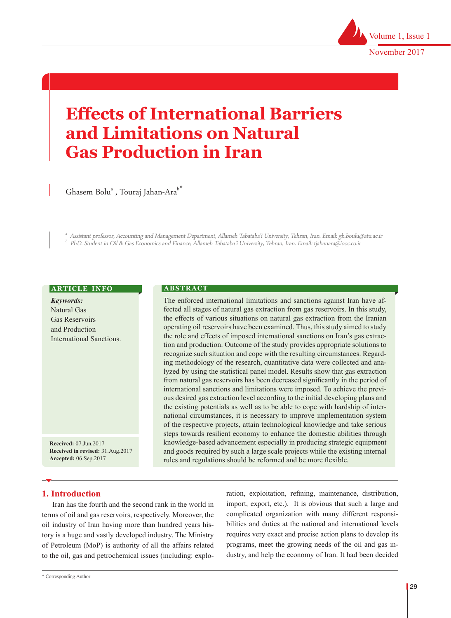

# **Effects of International Barriers and Limitations on Natural Gas Production in Iran**

Ghasem Bolu $^{\text{\tiny \textsf{a}}}$ , Touraj Jahan-Ara $^{\text{\tiny \textsf{b}}}$ 

 Assistant professor, Accounting and Management Department, Allameh Tabataba'i University, Tehran, Iran. Email: gh.boulu@atu.ac.ir PhD. Student in Oil & Gas Economics and Finance, Allameh Tabataba'i University, Tehran, Iran. Email: tjahanara@iooc.co.ir

#### **ARTICLE INFO**

| <b>Keywords:</b>         |
|--------------------------|
| Natural Gas              |
| Gas Reservoirs           |
| and Production           |
| International Sanctions. |
|                          |

**Received:** 07.Jun.2017 **Received in revised:** 31.Aug.2017 **Accepted:** 06.Sep.2017

### **A B S T R A C T**

The enforced international limitations and sanctions against Iran have affected all stages of natural gas extraction from gas reservoirs. In this study, the effects of various situations on natural gas extraction from the Iranian operating oil reservoirs have been examined. Thus, this study aimed to study the role and effects of imposed international sanctions on Iran's gas extraction and production. Outcome of the study provides appropriate solutions to recognize such situation and cope with the resulting circumstances. Regarding methodology of the research, quantitative data were collected and analyzed by using the statistical panel model. Results show that gas extraction from natural gas reservoirs has been decreased significantly in the period of international sanctions and limitations were imposed. To achieve the previous desired gas extraction level according to the initial developing plans and the existing potentials as well as to be able to cope with hardship of international circumstances, it is necessary to improve implementation system of the respective projects, attain technological knowledge and take serious steps towards resilient economy to enhance the domestic abilities through knowledge-based advancement especially in producing strategic equipment and goods required by such a large scale projects while the existing internal rules and regulations should be reformed and be more flexible.

# **1. Introduction**

Iran has the fourth and the second rank in the world in terms of oil and gas reservoirs, respectively. Moreover, the oil industry of Iran having more than hundred years history is a huge and vastly developed industry. The Ministry of Petroleum (MoP) is authority of all the affairs related to the oil, gas and petrochemical issues (including: exploration, exploitation, refining, maintenance, distribution, import, export, etc.). It is obvious that such a large and complicated organization with many different responsibilities and duties at the national and international levels requires very exact and precise action plans to develop its programs, meet the growing needs of the oil and gas industry, and help the economy of Iran. It had been decided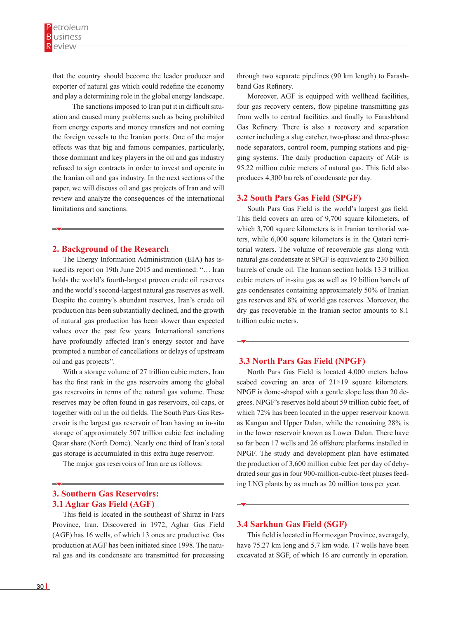that the country should become the leader producer and exporter of natural gas which could redefine the economy and play a determining role in the global energy landscape.

 The sanctions imposed to Iran put it in difficult situation and caused many problems such as being prohibited from energy exports and money transfers and not coming the foreign vessels to the Iranian ports. One of the major effects was that big and famous companies, particularly, those dominant and key players in the oil and gas industry refused to sign contracts in order to invest and operate in the Iranian oil and gas industry. In the next sections of the paper, we will discuss oil and gas projects of Iran and will review and analyze the consequences of the international limitations and sanctions.

#### **2. Background of the Research**

The Energy Information Administration (EIA) has issued its report on 19th June 2015 and mentioned: "… Iran holds the world's fourth-largest proven crude oil reserves and the world's second-largest natural gas reserves as well. Despite the country's abundant reserves, Iran's crude oil production has been substantially declined, and the growth of natural gas production has been slower than expected values over the past few years. International sanctions have profoundly affected Iran's energy sector and have prompted a number of cancellations or delays of upstream oil and gas projects".

With a storage volume of 27 trillion cubic meters, Iran has the first rank in the gas reservoirs among the global gas reservoirs in terms of the natural gas volume. These reserves may be often found in gas reservoirs, oil caps, or together with oil in the oil fields. The South Pars Gas Reservoir is the largest gas reservoir of Iran having an in-situ storage of approximately 507 trillion cubic feet including Qatar share (North Dome). Nearly one third of Iran's total gas storage is accumulated in this extra huge reservoir.

The major gas reservoirs of Iran are as follows:

# **3. Southern Gas Reservoirs: 3.1 Aghar Gas Field (AGF)**

This field is located in the southeast of Shiraz in Fars Province, Iran. Discovered in 1972, Aghar Gas Field (AGF) has 16 wells, of which 13 ones are productive. Gas production at AGF has been initiated since 1998. The natural gas and its condensate are transmitted for processing

through two separate pipelines (90 km length) to Farashband Gas Refinery.

Moreover, AGF is equipped with wellhead facilities, four gas recovery centers, flow pipeline transmitting gas from wells to central facilities and finally to Farashband Gas Refinery. There is also a recovery and separation center including a slug catcher, two-phase and three-phase node separators, control room, pumping stations and pigging systems. The daily production capacity of AGF is 95.22 million cubic meters of natural gas. This field also produces 4,300 barrels of condensate per day.

#### **3.2 South Pars Gas Field (SPGF)**

South Pars Gas Field is the world's largest gas field. This field covers an area of 9,700 square kilometers, of which 3,700 square kilometers is in Iranian territorial waters, while 6,000 square kilometers is in the Qatari territorial waters. The volume of recoverable gas along with natural gas condensate at SPGF is equivalent to 230 billion barrels of crude oil. The Iranian section holds 13.3 trillion cubic meters of in-situ gas as well as 19 billion barrels of gas condensates containing approximately 50% of Iranian gas reserves and 8% of world gas reserves. Moreover, the dry gas recoverable in the Iranian sector amounts to 8.1 trillion cubic meters.

## **3.3 North Pars Gas Field (NPGF)**

North Pars Gas Field is located 4,000 meters below seabed covering an area of  $21\times19$  square kilometers. NPGF is dome-shaped with a gentle slope less than 20 degrees. NPGF's reserves hold about 59 trillion cubic feet, of which 72% has been located in the upper reservoir known as Kangan and Upper Dalan, while the remaining 28% is in the lower reservoir known as Lower Dalan. There have so far been 17 wells and 26 offshore platforms installed in NPGF. The study and development plan have estimated the production of 3,600 million cubic feet per day of dehydrated sour gas in four 900-million-cubic-feet phases feeding LNG plants by as much as 20 million tons per year.

## **3.4 Sarkhun Gas Field (SGF)**

This field is located in Hormozgan Province, averagely, have 75.27 km long and 5.7 km wide. 17 wells have been excavated at SGF, of which 16 are currently in operation.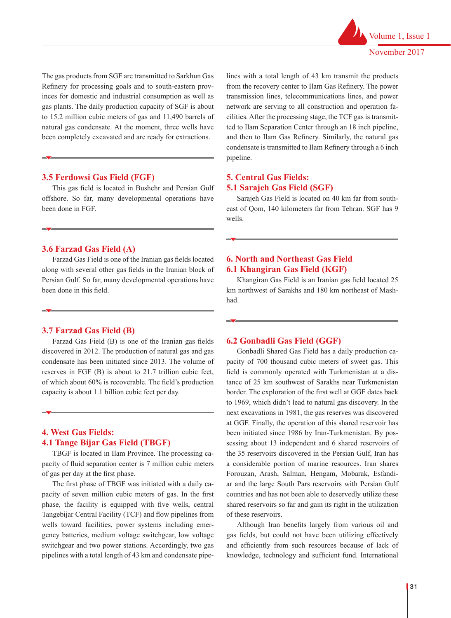

The gas products from SGF are transmitted to Sarkhun Gas Refinery for processing goals and to south-eastern provinces for domestic and industrial consumption as well as gas plants. The daily production capacity of SGF is about to 15.2 million cubic meters of gas and 11,490 barrels of natural gas condensate. At the moment, three wells have been completely excavated and are ready for extractions.

# **3.5 Ferdowsi Gas Field (FGF)**

This gas field is located in Bushehr and Persian Gulf offshore. So far, many developmental operations have been done in FGF.

## **3.6 Farzad Gas Field (A)**

Farzad Gas Field is one of the Iranian gas fields located along with several other gas fields in the Iranian block of Persian Gulf. So far, many developmental operations have been done in this field.

# **3.7 Farzad Gas Field (B)**

Farzad Gas Field (B) is one of the Iranian gas fields discovered in 2012. The production of natural gas and gas condensate has been initiated since 2013. The volume of reserves in FGF (B) is about to 21.7 trillion cubic feet, of which about 60% is recoverable. The field's production capacity is about 1.1 billion cubic feet per day.

# **4. West Gas Fields: 4.1 Tange Bijar Gas Field (TBGF)**

TBGF is located in Ilam Province. The processing capacity of fluid separation center is 7 million cubic meters of gas per day at the first phase.

The first phase of TBGF was initiated with a daily capacity of seven million cubic meters of gas. In the first phase, the facility is equipped with five wells, central Tangebijar Central Facility (TCF) and flow pipelines from wells toward facilities, power systems including emergency batteries, medium voltage switchgear, low voltage switchgear and two power stations. Accordingly, two gas pipelines with a total length of 43 km and condensate pipelines with a total length of 43 km transmit the products from the recovery center to Ilam Gas Refinery. The power transmission lines, telecommunications lines, and power network are serving to all construction and operation facilities. After the processing stage, the TCF gas is transmitted to Ilam Separation Center through an 18 inch pipeline, and then to Ilam Gas Refinery. Similarly, the natural gas condensate is transmitted to Ilam Refinery through a 6 inch pipeline.

# **5. Central Gas Fields: 5.1 Sarajeh Gas Field (SGF)**

Sarajeh Gas Field is located on 40 km far from southeast of Qom, 140 kilometers far from Tehran. SGF has 9 wells.

# **6. North and Northeast Gas Field 6.1 Khangiran Gas Field (KGF)**

Khangiran Gas Field is an Iranian gas field located 25 km northwest of Sarakhs and 180 km northeast of Mashhad.

#### **6.2 Gonbadli Gas Field (GGF)**

Gonbadli Shared Gas Field has a daily production capacity of 700 thousand cubic meters of sweet gas. This field is commonly operated with Turkmenistan at a distance of 25 km southwest of Sarakhs near Turkmenistan border. The exploration of the first well at GGF dates back to 1969, which didn't lead to natural gas discovery. In the next excavations in 1981, the gas reserves was discovered at GGF. Finally, the operation of this shared reservoir has been initiated since 1986 by Iran-Turkmenistan. By possessing about 13 independent and 6 shared reservoirs of the 35 reservoirs discovered in the Persian Gulf, Iran has a considerable portion of marine resources. Iran shares Forouzan, Arash, Salman, Hengam, Mobarak, Esfandiar and the large South Pars reservoirs with Persian Gulf countries and has not been able to deservedly utilize these shared reservoirs so far and gain its right in the utilization of these reservoirs.

Although Iran benefits largely from various oil and gas fields, but could not have been utilizing effectively and efficiently from such resources because of lack of knowledge, technology and sufficient fund. International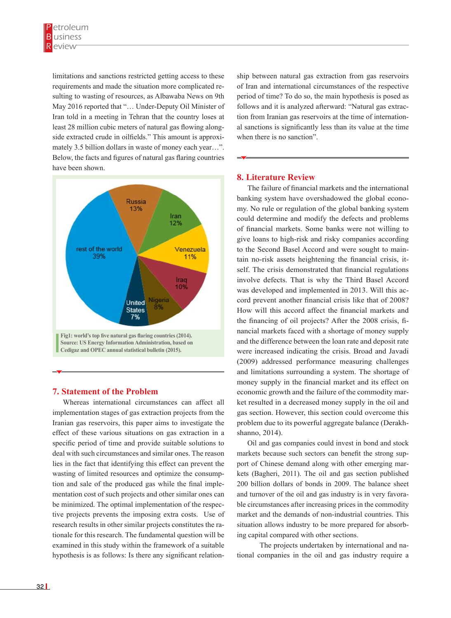limitations and sanctions restricted getting access to these requirements and made the situation more complicated resulting to wasting of resources, as Albawaba News on 9th May 2016 reported that "… Under-Deputy Oil Minister of Iran told in a meeting in Tehran that the country loses at tion from Iranian gas reservoirs and the country loses at tion from Iranian gas reservoirs efficiently from such resources because of matural and the country foses at the find from natural gas reservoirs and least 28 million cubic meters of natural gas flowing along-<br>al sanctions is significantly less side extracted crude in oilfields." This amount is approxi-<br>when there is no sanction". mately 3.5 billion dollars in waste of money each year...". Below, the facts and figures of natural gas flaring countries  $\rightarrow$ have been shown. reast 20 minion cubic meters of hatural gas nowing along and sanctions is significantly toss nave been shown.



# **7. Statement of the Problem**

Whereas international circumstances can affect all ket resulted in a decreased more implementation stages of gas extraction projects from the gas section. However, this sect Iranian gas reservoirs, this paper aims to investigate the problem due to its powerful agg effect of these various situations on gas extraction in a shanno, 2014). specific period of time and provide suitable solutions to Oil and gas companies could deal with such circumstances and similar ones. The reason markets because such sectors ca lies in the fact that identifying this effect can prevent the port of Chinese demand along v wasting of limited resources and optimize the consump-<br>kets (Bagheri, 2011). The oil a tion and sale of the produced gas while the final imple-<br>200 billion dollars of bonds in mentation cost of such projects and other similar ones can and turnover of the oil and gas i be minimized. The optimal implementation of the respec-<br>ble c hypothesis is as follows: Is there any significant relation-<br>tional companies in the oil and  $\mathcal{O}_1$  banking system could determine and modify the defects and problems of financial matrix of financial matrix  $\mathcal{O}_2$ tive projects prevents the imposing extra costs. Use of research results in other similar projects constitutes the rationale for this research. The fundamental question will be examined in this study within the framework of a suitable

ship between natural gas extraction from gas reservoirs of Iran and international circumstances of the respective period of time? To do so, the main hypothesis is posed as follows and it is analyzed afterward: "Natural gas extraction from Iranian gas reservoirs at the time of international sanctions is significantly less than its value at the time when there is no sanction".

## **8. Literature Review**

The failure of financial markets and the international banking system have overshadowed the global economy. No rule or regulation of the global banking system could determine and modify the defects and problems of financial markets. Some banks were not willing to give loans to high-risk and risky companies according to the Second Basel Accord and were sought to maintain no-risk assets heightening the financial crisis, itself. The crisis demonstrated that financial regulations involve defects. That is why the Third Basel Accord was developed and implemented in 2013. Will this accord prevent another financial crisis like that of 2008? How will this accord affect the financial markets and the financing of oil projects? After the 2008 crisis, financial markets faced with a shortage of money supply and the difference between the loan rate and deposit rate were increased indicating the crisis. Broad and Javadi (2009) addressed performance measuring challenges and limitations surrounding a system. The shortage of money supply in the financial market and its effect on economic growth and the failure of the commodity market resulted in a decreased money supply in the oil and gas section. However, this section could overcome this problem due to its powerful aggregate balance (Derakhshanno, 2014).

Oil and gas companies could invest in bond and stock markets because such sectors can benefit the strong support of Chinese demand along with other emerging markets (Bagheri, 2011). The oil and gas section published 200 billion dollars of bonds in 2009. The balance sheet and turnover of the oil and gas industry is in very favorable circumstances after increasing prices in the commodity market and the demands of non-industrial countries. This situation allows industry to be more prepared for absorbing capital compared with other sections.

 The projects undertaken by international and national companies in the oil and gas industry require a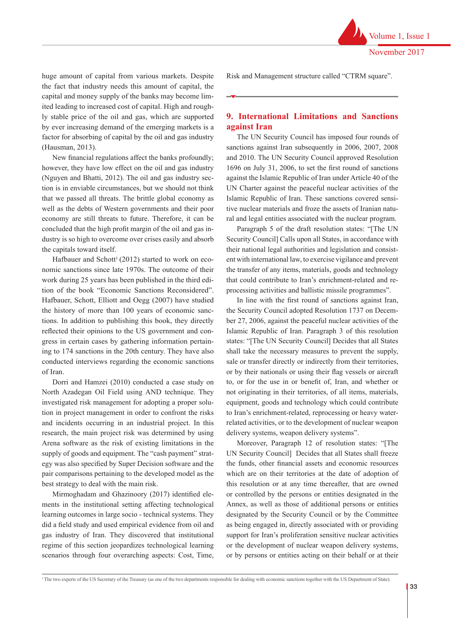huge amount of capital from various markets. Despite the fact that industry needs this amount of capital, the capital and money supply of the banks may become limited leading to increased cost of capital. High and roughly stable price of the oil and gas, which are supported by ever increasing demand of the emerging markets is a factor for absorbing of capital by the oil and gas industry (Hausman, 2013).

New financial regulations affect the banks profoundly; however, they have low effect on the oil and gas industry (Nguyen and Bhatti, 2012). The oil and gas industry section is in enviable circumstances, but we should not think that we passed all threats. The brittle global economy as well as the debts of Western governments and their poor economy are still threats to future. Therefore, it can be concluded that the high profit margin of the oil and gas industry is so high to overcome over crises easily and absorb the capitals toward itself.

Hafbauer and Schott<sup>1</sup> (2012) started to work on economic sanctions since late 1970s. The outcome of their work during 25 years has been published in the third edition of the book "Economic Sanctions Reconsidered". Hafbauer, Schott, Elliott and Oegg (2007) have studied the history of more than 100 years of economic sanctions. In addition to publishing this book, they directly reflected their opinions to the US government and congress in certain cases by gathering information pertaining to 174 sanctions in the 20th century. They have also conducted interviews regarding the economic sanctions of Iran.

Dorri and Hamzei (2010) conducted a case study on North Azadegan Oil Field using AND technique. They investigated risk management for adopting a proper solution in project management in order to confront the risks and incidents occurring in an industrial project. In this research, the main project risk was determined by using Arena software as the risk of existing limitations in the supply of goods and equipment. The "cash payment" strategy was also specified by Super Decision software and the pair comparisons pertaining to the developed model as the best strategy to deal with the main risk.

Mirmoghadam and Ghazinoory (2017) identified elements in the institutional setting affecting technological learning outcomes in large socio - technical systems. They did a field study and used empirical evidence from oil and gas industry of Iran. They discovered that institutional regime of this section jeopardizes technological learning scenarios through four overarching aspects: Cost, Time, Risk and Management structure called "CTRM square".

Volume 1, Issue 1

November 2017

# **9. International Limitations and Sanctions against Iran**

The UN Security Council has imposed four rounds of sanctions against Iran subsequently in 2006, 2007, 2008 and 2010. The UN Security Council approved Resolution 1696 on July 31, 2006, to set the first round of sanctions against the Islamic Republic of Iran under Article 40 of the UN Charter against the peaceful nuclear activities of the Islamic Republic of Iran. These sanctions covered sensitive nuclear materials and froze the assets of Iranian natural and legal entities associated with the nuclear program.

Paragraph 5 of the draft resolution states: "[The UN Security Council] Calls upon all States, in accordance with their national legal authorities and legislation and consistent with international law, to exercise vigilance and prevent the transfer of any items, materials, goods and technology that could contribute to Iran's enrichment-related and reprocessing activities and ballistic missile programmes".

In line with the first round of sanctions against Iran, the Security Council adopted Resolution 1737 on December 27, 2006, against the peaceful nuclear activities of the Islamic Republic of Iran. Paragraph 3 of this resolution states: "[The UN Security Council] Decides that all States shall take the necessary measures to prevent the supply, sale or transfer directly or indirectly from their territories, or by their nationals or using their flag vessels or aircraft to, or for the use in or benefit of, Iran, and whether or not originating in their territories, of all items, materials, equipment, goods and technology which could contribute to Iran's enrichment-related, reprocessing or heavy waterrelated activities, or to the development of nuclear weapon delivery systems, weapon delivery systems".

Moreover, Paragraph 12 of resolution states: "[The UN Security Council] Decides that all States shall freeze the funds, other financial assets and economic resources which are on their territories at the date of adoption of this resolution or at any time thereafter, that are owned or controlled by the persons or entities designated in the Annex, as well as those of additional persons or entities designated by the Security Council or by the Committee as being engaged in, directly associated with or providing support for Iran's proliferation sensitive nuclear activities or the development of nuclear weapon delivery systems, or by persons or entities acting on their behalf or at their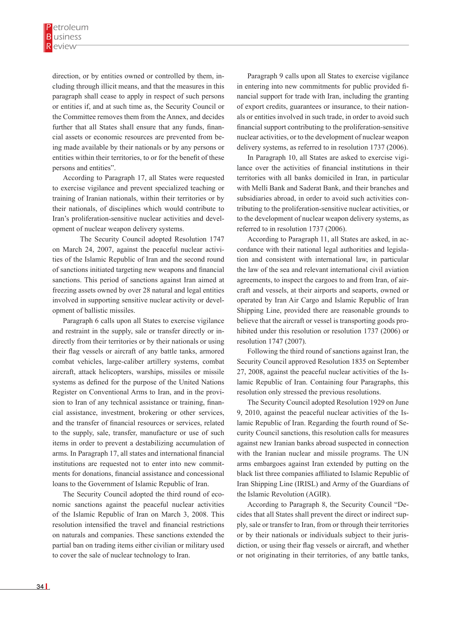direction, or by entities owned or controlled by them, including through illicit means, and that the measures in this paragraph shall cease to apply in respect of such persons or entities if, and at such time as, the Security Council or the Committee removes them from the Annex, and decides further that all States shall ensure that any funds, financial assets or economic resources are prevented from being made available by their nationals or by any persons or entities within their territories, to or for the benefit of these persons and entities".

According to Paragraph 17, all States were requested to exercise vigilance and prevent specialized teaching or training of Iranian nationals, within their territories or by their nationals, of disciplines which would contribute to Iran's proliferation-sensitive nuclear activities and development of nuclear weapon delivery systems.

 The Security Council adopted Resolution 1747 on March 24, 2007, against the peaceful nuclear activities of the Islamic Republic of Iran and the second round of sanctions initiated targeting new weapons and financial sanctions. This period of sanctions against Iran aimed at freezing assets owned by over 28 natural and legal entities involved in supporting sensitive nuclear activity or development of ballistic missiles.

Paragraph 6 calls upon all States to exercise vigilance and restraint in the supply, sale or transfer directly or indirectly from their territories or by their nationals or using their flag vessels or aircraft of any battle tanks, armored combat vehicles, large-caliber artillery systems, combat aircraft, attack helicopters, warships, missiles or missile systems as defined for the purpose of the United Nations Register on Conventional Arms to Iran, and in the provision to Iran of any technical assistance or training, financial assistance, investment, brokering or other services, and the transfer of financial resources or services, related to the supply, sale, transfer, manufacture or use of such items in order to prevent a destabilizing accumulation of arms. In Paragraph 17, all states and international financial institutions are requested not to enter into new commitments for donations, financial assistance and concessional loans to the Government of Islamic Republic of Iran.

The Security Council adopted the third round of economic sanctions against the peaceful nuclear activities of the Islamic Republic of Iran on March 3, 2008. This resolution intensified the travel and financial restrictions on naturals and companies. These sanctions extended the partial ban on trading items either civilian or military used to cover the sale of nuclear technology to Iran.

Paragraph 9 calls upon all States to exercise vigilance in entering into new commitments for public provided financial support for trade with Iran, including the granting of export credits, guarantees or insurance, to their nationals or entities involved in such trade, in order to avoid such financial support contributing to the proliferation-sensitive nuclear activities, or to the development of nuclear weapon delivery systems, as referred to in resolution 1737 (2006).

In Paragraph 10, all States are asked to exercise vigilance over the activities of financial institutions in their territories with all banks domiciled in Iran, in particular with Melli Bank and Saderat Bank, and their branches and subsidiaries abroad, in order to avoid such activities contributing to the proliferation-sensitive nuclear activities, or to the development of nuclear weapon delivery systems, as referred to in resolution 1737 (2006).

According to Paragraph 11, all States are asked, in accordance with their national legal authorities and legislation and consistent with international law, in particular the law of the sea and relevant international civil aviation agreements, to inspect the cargoes to and from Iran, of aircraft and vessels, at their airports and seaports, owned or operated by Iran Air Cargo and Islamic Republic of Iran Shipping Line, provided there are reasonable grounds to believe that the aircraft or vessel is transporting goods prohibited under this resolution or resolution 1737 (2006) or resolution 1747 (2007).

Following the third round of sanctions against Iran, the Security Council approved Resolution 1835 on September 27, 2008, against the peaceful nuclear activities of the Islamic Republic of Iran. Containing four Paragraphs, this resolution only stressed the previous resolutions.

The Security Council adopted Resolution 1929 on June 9, 2010, against the peaceful nuclear activities of the Islamic Republic of Iran. Regarding the fourth round of Security Council sanctions, this resolution calls for measures against new Iranian banks abroad suspected in connection with the Iranian nuclear and missile programs. The UN arms embargoes against Iran extended by putting on the black list three companies affiliated to Islamic Republic of Iran Shipping Line (IRISL) and Army of the Guardians of the Islamic Revolution (AGIR).

According to Paragraph 8, the Security Council "Decides that all States shall prevent the direct or indirect supply, sale or transfer to Iran, from or through their territories or by their nationals or individuals subject to their jurisdiction, or using their flag vessels or aircraft, and whether or not originating in their territories, of any battle tanks,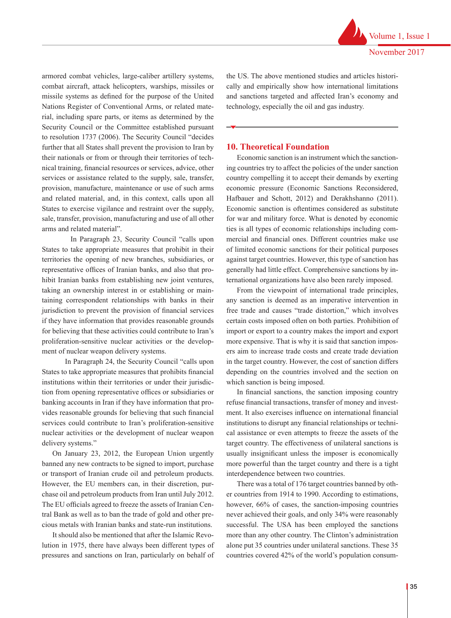armored combat vehicles, large-caliber artillery systems, combat aircraft, attack helicopters, warships, missiles or missile systems as defined for the purpose of the United Nations Register of Conventional Arms, or related material, including spare parts, or items as determined by the Security Council or the Committee established pursuant to resolution 1737 (2006). The Security Council "decides further that all States shall prevent the provision to Iran by their nationals or from or through their territories of technical training, financial resources or services, advice, other services or assistance related to the supply, sale, transfer, provision, manufacture, maintenance or use of such arms and related material, and, in this context, calls upon all States to exercise vigilance and restraint over the supply, sale, transfer, provision, manufacturing and use of all other arms and related material".

 In Paragraph 23, Security Council "calls upon States to take appropriate measures that prohibit in their territories the opening of new branches, subsidiaries, or representative offices of Iranian banks, and also that prohibit Iranian banks from establishing new joint ventures, taking an ownership interest in or establishing or maintaining correspondent relationships with banks in their jurisdiction to prevent the provision of financial services if they have information that provides reasonable grounds for believing that these activities could contribute to Iran's proliferation-sensitive nuclear activities or the development of nuclear weapon delivery systems.

 In Paragraph 24, the Security Council "calls upon States to take appropriate measures that prohibits financial institutions within their territories or under their jurisdiction from opening representative offices or subsidiaries or banking accounts in Iran if they have information that provides reasonable grounds for believing that such financial services could contribute to Iran's proliferation-sensitive nuclear activities or the development of nuclear weapon delivery systems."

On January 23, 2012, the European Union urgently banned any new contracts to be signed to import, purchase or transport of Iranian crude oil and petroleum products. However, the EU members can, in their discretion, purchase oil and petroleum products from Iran until July 2012. The EU officials agreed to freeze the assets of Iranian Central Bank as well as to ban the trade of gold and other precious metals with Iranian banks and state-run institutions.

It should also be mentioned that after the Islamic Revolution in 1975, there have always been different types of pressures and sanctions on Iran, particularly on behalf of the US. The above mentioned studies and articles historically and empirically show how international limitations and sanctions targeted and affected Iran's economy and technology, especially the oil and gas industry.

## **10. Theoretical Foundation**

Economic sanction is an instrument which the sanctioning countries try to affect the policies of the under sanction country compelling it to accept their demands by exerting economic pressure (Economic Sanctions Reconsidered, Hafbauer and Schott, 2012) and Derakhshanno (2011). Economic sanction is oftentimes considered as substitute for war and military force. What is denoted by economic ties is all types of economic relationships including commercial and financial ones. Different countries make use of limited economic sanctions for their political purposes against target countries. However, this type of sanction has generally had little effect. Comprehensive sanctions by international organizations have also been rarely imposed.

From the viewpoint of international trade principles, any sanction is deemed as an imperative intervention in free trade and causes "trade distortion," which involves certain costs imposed often on both parties. Prohibition of import or export to a country makes the import and export more expensive. That is why it is said that sanction imposers aim to increase trade costs and create trade deviation in the target country. However, the cost of sanction differs depending on the countries involved and the section on which sanction is being imposed.

In financial sanctions, the sanction imposing country refuse financial transactions, transfer of money and investment. It also exercises influence on international financial institutions to disrupt any financial relationships or technical assistance or even attempts to freeze the assets of the target country. The effectiveness of unilateral sanctions is usually insignificant unless the imposer is economically more powerful than the target country and there is a tight interdependence between two countries.

There was a total of 176 target countries banned by other countries from 1914 to 1990. According to estimations, however,  $66\%$  of cases, the sanction-imposing countries never achieved their goals, and only 34% were reasonably successful. The USA has been employed the sanctions more than any other country. The Clinton's administration alone put 35 countries under unilateral sanctions. These 35 countries covered 42% of the world's population consum-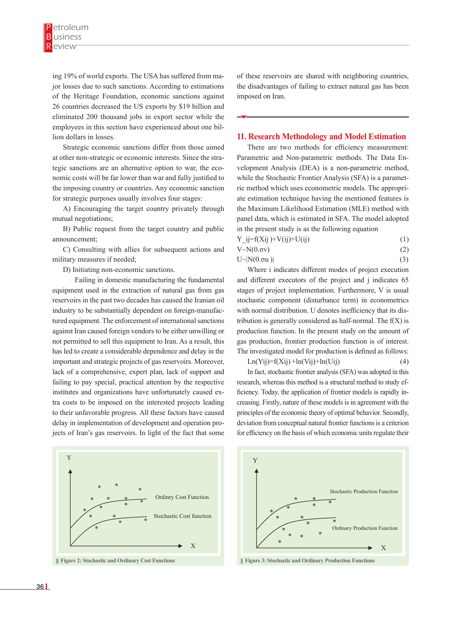ing 19% of world exports. The USA has suffered from major losses due to such sanctions. According to estimations of the Heritage Foundation, economic sanctions against 26 countries decreased the US exports by \$19 billion and eliminated 200 thousand jobs in export sector while the employees in this section have experienced about one billion dollars in losses.

Strategic economic sanctions differ from those aimed at other non-strategic or economic interests. Since the strategic sanctions are an alternative option to war, the economic costs will be far lower than war and fully justified to the imposing country or countries. Any economic sanction for strategic purposes usually involves four stages:

A) Encouraging the target country privately through mutual negotiations;

B) Public request from the target country and public announcement;

C) Consulting with allies for subsequent actions and military measures if needed;

D) Initiating non-economic sanctions.

 Failing in domestic manufacturing the fundamental equipment used in the extraction of natural gas from gas reservoirs in the past two decades has caused the Iranian oil industry to be substantially dependent on foreign-manufactured equipment. The enforcement of international sanctions against Iran caused foreign vendors to be either unwilling or not permitted to sell this equipment to Iran. As a result, this has led to create a considerable dependence and delay in the important and strategic projects of gas reservoirs. Moreover, lack of a comprehensive, expert plan, lack of support and failing to pay special, practical attention by the respective institutes and organizations have unfortunately caused extra costs to be imposed on the interested projects leading to their unfavorable progress. All these factors have caused delay in implementation of development and operation projects of Iran's gas reservoirs. In light of the fact that some



**Figure 2: Stochastic and Ordinary Cost Functions**

of these reservoirs are shared with neighboring countries, the disadvantages of failing to extract natural gas has been imposed on Iran.

#### **11. Research Methodology and Model Estimation**

There are two methods for efficiency measurement: Parametric and Non-parametric methods. The Data Envelopment Analysis (DEA) is a non-parametric method, while the Stochastic Frontier Analysis (SFA) is a parametric method which uses econometric models. The appropriate estimation technique having the mentioned features is the Maximum Likelihood Estimation (MLE) method with panel data, which is estimated in SFA. The model adopted in the present study is as the following equation

| $Y_{ij}=f(X_{ij})+V(ij)+U(ij)$ | (1) |
|--------------------------------|-----|
| $V \sim N(0. \sigma v)$        | (2) |

$$
U \sim |N(0.\sigma u)| \tag{3}
$$

Where i indicates different modes of project execution and different executors of the project and j indicates 65 stages of project implementation. Furthermore, V is usual stochastic component (disturbance term) in econometrics with normal distribution. U denotes inefficiency that its distribution is generally considered as half-normal. The  $f(X)$  is production function. In the present study on the amount of gas production, frontier production function is of interest. The investigated model for production is defined as follows:<br> $Ln(Yii)=f(Xii)+ln(Yii)+ln(Uii)$  (4)

$$
Ln(Yij)=f(Xij)+ln(Vij)+ln(Uij)
$$
\n(4)

 $Ln(Y_1)=t(X_1)+ln(Y_1)+ln(U_1)$ <br>In fact, stochastic frontier analysis (SFA) was adopted in this research, whereas this method is a structural method to study efficiency. Today, the application of frontier models is rapidly increasing. Firstly, nature of these models is in agreement with the principles of the economic theory of optimal behavior. Secondly, deviation from conceptual natural frontier functions is a criterion for efficiency on the basis of which economic units regulate their ontier analysis (SFA) was adopted in



**Figure 3: Stochastic and Ordinary Production Functions**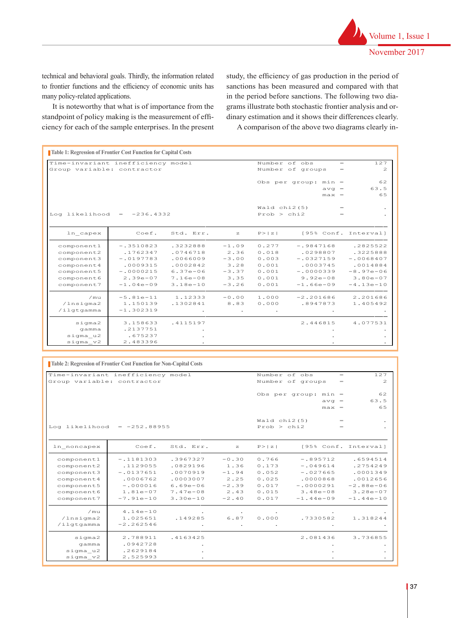technical and behavioral goals. Thirdly, the information related to frontier functions and the efficiency of economic units has many policy-related applications.

It is noteworthy that what is of importance from the standpoint of policy making is the measurement of effi-

study, the efficiency of gas production in the period of sanctions has been measured and compared with that in the period before sanctions. The following two diagrams illustrate both stochastic frontier analysis and orng is the measurement of effi-<br>dinary estimation and it shows their differences clearly.

ciency for each of the sample enterprises. In the present A comparison of the above two diagrams clearly i A comparison of the above two diagrams clearly in- $G$ roups  $G$ roups  $G$ roups  $G$ roups  $G$ roups  $G$ roups  $G$  groups  $G$ 

| Table 1: Regression of Frontier Cost Function for Capital Costs |                    |              |              |                |                         |                |  |
|-----------------------------------------------------------------|--------------------|--------------|--------------|----------------|-------------------------|----------------|--|
| Time-invariant inefficiency model                               |                    |              |              |                | Number of obs<br>$=$    | 127            |  |
| Group variable: contractor                                      |                    |              |              |                | Number of groups<br>$=$ | $\mathfrak{D}$ |  |
|                                                                 |                    |              |              |                | Obs per group: $min =$  | 62             |  |
|                                                                 |                    |              |              |                | $avq =$                 | 63.5           |  |
|                                                                 |                    |              |              |                | $max =$                 | 65             |  |
|                                                                 |                    |              |              | Wald $chi2(5)$ | $\qquad \qquad =$       |                |  |
| Log likelihood                                                  | $-236.4332$<br>$=$ |              |              | Prob > chi2    |                         |                |  |
|                                                                 |                    |              |              |                |                         |                |  |
| In capex                                                        | Coef.              | Std. Err.    | $\mathbb{Z}$ | P >  z         | [95% Conf. Interval]    |                |  |
| component1                                                      | $-.3510823$        | .3232888     | $-1.09$      | 0.277          | $-.9847168$             | .2825522       |  |
| component2                                                      | .1762347           | .0746718     | 2.36         | 0.018          | .0298807                | .3225888       |  |
| component3                                                      | $-.0197783$        | .0066009     | $-3.00$      | 0.003          | $-.0327159$             | $-10068407$    |  |
| component4                                                      | .0009315           | .0002842     | 3.28         | 0.001          | .0003745                | .0014884       |  |
| component5                                                      | $-.0000215$        | $6.37e - 06$ | $-3.37$      | 0.001          | $-10000339$             | $-8.97e - 06$  |  |
| component6                                                      | $2.39e - 07$       | $7.16e - 08$ | 3.35         | 0.001          | $9.92e - 08$            | $3.80e - 07$   |  |
| component7                                                      | $-1.04e-09$        | $3.18e - 10$ | $-3.26$      | 0.001          | $-1.66e - 09$           | $-4.13e-10$    |  |
| /mu                                                             | $-5.81e-11$        | 1.12333      | $-0.00$      | 1,000          | $-2, 201686$            | 2.201686       |  |
| /lnsima2                                                        | 1,150139           | .1302841     | 8.83         | 0.000          | .8947873                | 1.405492       |  |
| /ilgtgamma                                                      | $-1.302319$        |              |              |                |                         |                |  |
| $s$ igma $2$                                                    | 3.158633           | .4115197     |              |                | 2.446815                | 4.077531       |  |
| gamma                                                           | .2137751           |              |              |                |                         |                |  |
| sigma u2                                                        | .675237            |              |              |                |                         |                |  |
| sigma v2                                                        | 2.483396           |              |              |                |                         |                |  |

| <b>Table 2: Regression of Frontier Cost Function for Non-Capital Costs</b> |                |              |         |                |                        |         |                      |
|----------------------------------------------------------------------------|----------------|--------------|---------|----------------|------------------------|---------|----------------------|
| Time-invariant inefficiency model                                          | Number of obs  |              | $=$     | 127            |                        |         |                      |
| Group variable: contractor                                                 |                |              |         |                | Number of groups       | $=$     | $\overline{c}$       |
|                                                                            |                |              |         |                | Obs per group: $min =$ |         | 62                   |
|                                                                            |                |              |         |                |                        | $avq =$ | 63.5                 |
|                                                                            |                |              |         |                |                        | $max =$ | 65                   |
|                                                                            |                |              |         |                |                        |         |                      |
|                                                                            |                |              |         | Wald $chi2(5)$ |                        | $=$     |                      |
| Log likelihood                                                             | $= -252.88955$ |              |         | Prob > chi2    |                        | $=$     |                      |
|                                                                            |                |              |         |                |                        |         |                      |
| In noncapex                                                                | Coef.          | Std. Err.    | z       | P >  z         |                        |         | [95% Conf. Interval] |
| component1                                                                 | $-.1181303$    | .3967327     | $-0.30$ | 0.766          | $-.895712$             |         | .6594514             |
| component2                                                                 | .1129055       | .0829196     | 1.36    | 0.173          | $-1049614$             |         | .2754249             |
| component3                                                                 | $-.0137651$    | .0070919     | $-1.94$ | 0.052          | $-.027665$             |         | .0001349             |
| component <sub>4</sub>                                                     | .0006762       | .0003007     | 2.25    | 0.025          | .0000868               |         | .0012656             |
| component5                                                                 | $-.000016$     | $6.69e - 06$ | $-2.39$ | 0.017          | $-.0000291$            |         | $-2.88e - 06$        |
| component6                                                                 | $1.81e-07$     | $7.47e - 08$ | 2.43    | 0.015          | $3.48e - 08$           |         | $3.28e - 07$         |
| component7                                                                 | $-7.91e-10$    | $3.30e - 10$ | $-2.40$ | 0.017          | $-1.44e-09$            |         | $-1.44e-10$          |
| /mu                                                                        | $4.14e-10$     |              |         |                |                        |         |                      |
| /lnsigma2                                                                  | 1.025651       | .149285      | 6.87    | 0.000          | .7330582               |         | 1.318244             |
| /ilgtgamma                                                                 | $-2, 262546$   |              |         |                |                        |         |                      |
| $s$ igma $2$                                                               | 2.788911       | .4163425     |         |                | 2.081436               |         | 3.736855             |
| qamma                                                                      | .0942728       |              |         |                |                        |         |                      |
| sigma u2                                                                   | .2629184       |              |         |                |                        |         |                      |
| sigma v2                                                                   | 2.525993       |              |         |                |                        |         |                      |
|                                                                            |                |              |         |                |                        |         |                      |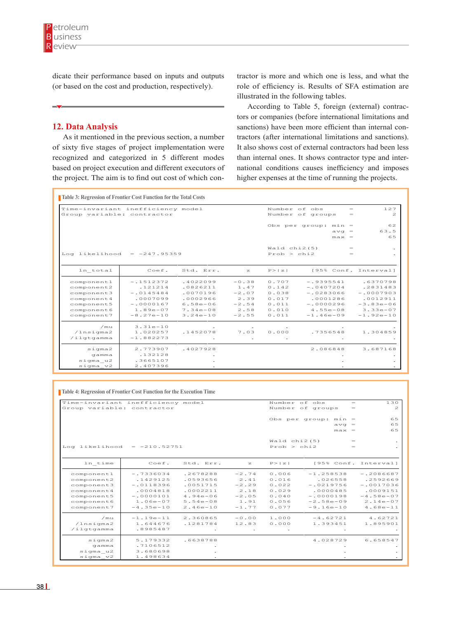dicate their performance based on inputs and outputs (or based on the cost and production, respectively).

### **12. Data Analysis**

the project. The aim is to find out cost of which con-<br>higher expenses at the time As it mentioned in the previous section, a number of sixty five stages of project implementation were recognized and categorized in 5 different modes based on project execution and different executors of

tractor is more and which one is less, and what the role of efficiency is. Results of SFA estimation are illustrated in the following tables.

According to Table 5, foreign (external) contractors or companies (before international limitations and sanctions) have been more efficient than internal contractors (after international limitations and sanctions). It also shows cost of external contractors had been less than internal ones. It shows contractor type and international conditions causes inefficiency and imposes higher expenses at the time of running the projects.

| Time-invariant inefficiency model |              |              |              | Number of obs           |                | $=$     | 127                  |
|-----------------------------------|--------------|--------------|--------------|-------------------------|----------------|---------|----------------------|
| Group variable: contractor        |              |              |              | Number of groups<br>$=$ |                |         | $\mathbf{z}$         |
|                                   |              |              |              |                         | Obs per group: | $min =$ | 62                   |
|                                   |              |              |              |                         |                | $avq =$ | 63.5                 |
|                                   |              |              |              |                         |                | $max =$ | 65                   |
|                                   |              |              |              | Wald $chi2(5)$          |                | $=$     |                      |
| Log likelihood = $-247.95359$     |              |              |              | Prob > chi2             |                |         |                      |
| In total                          | Coef.        | Std. Err.    | $\mathbb{Z}$ | P >  z                  |                |         | [95% Conf. Interval] |
| component1                        | $-1512372$   | .4022099     | $-0.38$      | 0.707                   | $-19395541$    |         | .6370798             |
| component2                        | .121214      | .0826211     | 1.47         | 0.142                   | $-10407204$    |         | .2831483             |
| component3                        | $-0145484$   | .0070196     | $-2.07$      | 0.038                   | $-10283066$    |         | $-10007903$          |
| component4                        | .0007099     | .0002966     | 2.39         | 0.017                   | .0001286       |         | .0012911             |
| component5                        | $-10000167$  | $6.58e - 06$ | $-2.54$      | 0.011                   | $-10000296$    |         | $-3.83e - 06$        |
| component6                        | $1.89e - 07$ | $7.34e - 08$ | 2.58         | 0.010                   | $4.55e - 08$   |         | $3.33e - 07$         |
| component7                        | $-8.27e-10$  | $3.24e - 10$ | $-2.55$      | 0.011                   | $-1.46e - 09$  |         | $-1.92e-10$          |
| $\sqrt{m_{11}}$                   | $3.31e - 10$ |              |              |                         |                |         |                      |
| /lnsim2                           | 1.020257     | .1452078     | 7.03         | 0.000                   | .7356548       |         | 1.304859             |
| /ilgtgamma                        | $-1.882273$  |              |              |                         |                |         |                      |
| $s$ iqma $2$                      | 2.773907     | .4027928     |              |                         | 2.086848       |         | 3.687168             |
| gamma                             | .132128      |              |              |                         |                |         |                      |
| sigma u2                          | .3665107     |              |              |                         |                |         |                      |
| sigma v2                          | 2.407396     |              |              |                         |                |         |                      |

Time-in-ineffect ineffects in equation  $\mathcal{L}^{\mathcal{L}}$  and  $\mathcal{L}^{\mathcal{L}}$  and  $\mathcal{L}^{\mathcal{L}}$  obs  $=$  1277  $\pm$ 

| <b>Table 4: Regression of Frontier Cost Function for the Execution Time</b> |                |              |                      |                          |                         |                          |
|-----------------------------------------------------------------------------|----------------|--------------|----------------------|--------------------------|-------------------------|--------------------------|
| Time-invariant inefficiency model                                           |                |              |                      |                          | Number of obs<br>$=$    | 130                      |
| Group variable: contractor                                                  |                |              |                      |                          | Number of groups<br>$=$ | $\mathbf{z}$             |
|                                                                             |                |              |                      |                          | Obs per group: $min =$  | 6.5                      |
|                                                                             |                |              |                      |                          | $avq =$                 | 65                       |
|                                                                             |                |              |                      |                          | $max =$                 | 65                       |
|                                                                             |                |              |                      | Wald $chi2(5)$           | $=$                     | ٠                        |
| Log likelihood                                                              | $= -210.52751$ |              |                      | Prob > chi2              |                         | $\ddot{\phantom{0}}$     |
| In time                                                                     | Coef.          | Std. Err.    | $\mathbb{Z}$         | P >  z                   |                         | [95% Conf. Interval]     |
| component1                                                                  | $-17336034$    | .2678288     | $-2.74$              | 0.006                    | $-1.258538$             | $-2086687$               |
| component2                                                                  | .1429125       | .0593656     | 2.41                 | 0.016                    | .026558                 | .2592669                 |
| component3                                                                  | $-10118396$    | .0051715     | $-2.29$              | 0.022                    | $-10219756$             | $-10017036$              |
| component 4                                                                 | .0004818       | .0002211     | 2.18                 | 0.029                    | .0000485                | .0009151                 |
| component5                                                                  | $-10000101$    | $4.94e - 06$ | $-2.05$              | 0.040                    | $-.0000198$             | $-4.58e - 07$            |
| component6                                                                  | $1.06e - 07$   | $5.54e - 08$ | 1.91                 | 0.056                    | $-2.58e - 09$           | $2.14e-07$               |
| component7                                                                  | $-4.35e-10$    | $2.46e - 10$ | $-1.77$              | 0.077                    | $-9.16e-10$             | $4.68e-11$               |
| $\sqrt{m_{11}}$                                                             | $-1.19e-11$    | 2.360865     | $-0.00$              | 1.000                    | $-4.62721$              | 4.62721                  |
| /lnsigma2                                                                   | 1.644676       | .1281784     | 12.83                | 0.000                    | 1.393451                | 1.895901                 |
| $/$ ilgtgamma                                                               | .8985487       |              | $\ddot{\phantom{0}}$ | $\overline{\phantom{a}}$ |                         | $\overline{\phantom{a}}$ |
| $s$ iqma $2$                                                                | 5.179332       | .6638788     |                      |                          | 4.028729                | 6.658547                 |
| gamma                                                                       | .7106512       |              |                      |                          |                         |                          |
| sigma u2                                                                    | 3.680698       |              |                      |                          |                         |                          |
|                                                                             |                |              |                      |                          |                         |                          |

/ilgtgamma .8985487 . . . . .